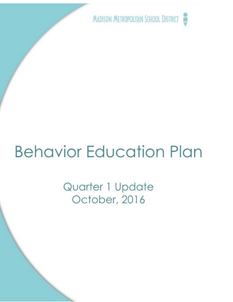MADISON METROPOLITAN SCHOOL DISTRICT **'Y** 

# **Behavior Education Plan**

Quarter 1 Update October, 2016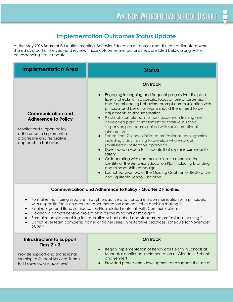# **Implementation Outcomes Status Update**

 corresponding status update: At the May 2016 Board of Education meeting, Behavior Education outcomes and discrete action steps were shared as a part of the year-end review. Those outcomes and actions steps are listed below along with a

| <b>Implementation Area</b>                                                                                     | <b>Status</b>                                                                                                                                                                                                                                                                                                                                                                                                                                                                                                                                                                                                                                                   |
|----------------------------------------------------------------------------------------------------------------|-----------------------------------------------------------------------------------------------------------------------------------------------------------------------------------------------------------------------------------------------------------------------------------------------------------------------------------------------------------------------------------------------------------------------------------------------------------------------------------------------------------------------------------------------------------------------------------------------------------------------------------------------------------------|
| $\bullet$<br><b>Communication and</b><br><b>Adherence to Policy</b>                                            | On track<br>Engaging in ongoing and frequent progressive discipline<br>fidelity checks with a specific focus on use of suspension<br>and / or miscoding behaviors; prompt communication with<br>principal and behavior teams should there need to be<br>adjustments to documentation<br>• 9 schools completed in-school-suspension training and                                                                                                                                                                                                                                                                                                                 |
| Monitor and support policy<br>adherence to implement a<br>progressive and restorative<br>approach to behavior. | developed plans to implement restorative in school<br>suspension procedures paired with social emotional<br>intervention<br>Teams from 7 schools initiated professional learning series<br>$\bullet$<br>including 2 day training to develop whole-school<br>(multi-tiered) restorative approach<br>Developed a video for students that explains surrender for<br>$\bullet$<br>safety<br>Collaborating with communications to enhance the<br>$\bullet$<br>identity of the Behavior Education Plan including branding<br>and mindset shift campaign.<br>Launched year two of the Guiding Coalition of Restorative<br>$\bullet$<br>and Equitable School Discipline |
| <b>Communication and Adherence to Policy - Quarter 2 Priorities</b>                                            |                                                                                                                                                                                                                                                                                                                                                                                                                                                                                                                                                                                                                                                                 |

- Formalize monitoring structure through proactive and transparent communication with principals,
- with a specific focus on accurate documentation and equitable decision making  $*$
- Finalize logo and Behavior Education Plan related materials with Communications
- Develop a comprehensive project plan for the mindshift campaign \*
- Formalize on-site coaching for restorative school cohort and standardize professional learning \*
- District level team completes trainer of trainer series in restorative practices; schedule for November 28-30 \*

#### **Infrastructure to Support On track Tiers 2 / 3**

learning to Student Services Teams

- Began implementation of Behavioral Health in Schools at Provide support and professional Mendota; continued implementation at Glendale, Schenk,<br>
Iearning to Student Services Teams and Sennett
- to 1) develop a school-level **•** Provided professional development and support the use of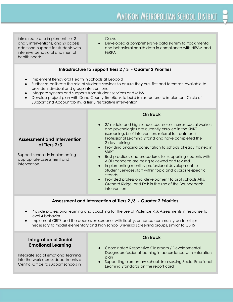# MADISON METROPOLITAN SCHOOL DISTRICT

infrastructure to implement tier 2 Oasys intensive behavioral and mental **FERPA** health needs.

and 3 interventions, and 2) access **• Confidence** Developed a comprehensive data system to track mental additional support for students with and behavioral health data in compliance with HIPAA and

#### **Infrastructure to Support Tiers 2 / 3 - Quarter 2 Priorities**

- Implement Behavioral Health in Schools at Leopold
- Further re-calibrate the role of students services to ensure they are, first and foremost, available to provide individual and group interventions
- Integrate systems and supports from student services and MTSS
- Develop project plan with Dane County TimeBank to build infrastructure to implement Circle of Support and Accountability, a tier 3 restorative intervention

## **Assessment and Intervention at Tiers 2/3**

Support schools in implementing appropriate assessment and intervention.

#### **On track**

- 27 middle and high school counselors, nurses, social workers and psychologists are currently enrolled in the SBIRT (screening, brief intervention, referral to treatment) Professional Learning Strand and have completed the 2-day training
- Providing ongoing consultation to schools already trained in SBIRT
- AOD concerns are being reviewed and revised ● Best practices and procedures for supporting students with
- Implementing monthly professional development to Student Services staff within topic and discipline-specific strands
- Provided professional development to pilot schools Allis, Orchard Ridge, and Falk in the use of the Bounceback intervention

#### **Assessment and Intervention at Tiers 2 /3 - Quarter 2 Priorities**

- Provide professional learning and coaching for the use of Violence Risk Assessments in response to level 4 behavior
- Implement CBITS and the depression screener with fidelity; enhance community partnerships necessary to model elementary and high school universal screening groups, similar to CBITS

#### **Integration of Social Emotional Learning**

Integrate social emotional learning into the work across departments at Central Office to support schools in

#### **On track**

- Coordinated Responsive Classroom / Developmental Designs professional learning in accordance with saturation plan
- Supporting elementary schools in assessing Social Emotional Learning Standards on the report card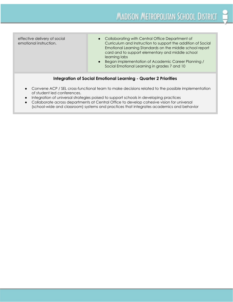effective delivery of social emotional instruction.

- Collaborating with Central Office Department of Curriculum and Instruction to support the addition of Social Emotional Learning Standards on the middle school report card and to support elementary and middle school learning labs
- Began implementation of Academic Career Planning / Social Emotional Learning in grades 7 and 10

#### **Integration of Social Emotional Learning - Quarter 2 Priorities**

- of student led conferences. Convene ACP / SEL cross-functional team to make decisions related to the possible implementation
- Integration of universal strategies poised to support schools in developing practices
- Collaborate across departments at Central Office to develop cohesive vision for universal (school-wide and classroom) systems and practices that integrates academics and behavior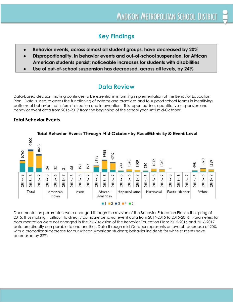# **Key Findings**

- Behavior events, across almost all student groups, have decreased by 20%
- Disproportionality, in behavior events and out-of-school suspension, for African American students persist; noticeable increases for students with disabilities
- Use of out-of-school suspension has decreased, across all levels, by 24%

# **Data Review**

 behavior event data from 2016-2017 from the beginning of the school year until mid-October. Data-based decision making continues to be essential in informing implementation of the Behavior Education Plan. Data is used to assess the functioning of systems and practices and to support school teams in identifying patterns of behavior that inform instruction and intervention. This report outlines quantitative suspension and

#### **Total Behavior Events**



Total Behavior Events Through Mid-October by Race/Ethnicity & Event Level

 decreased by 32%.Documentation parameters were changed through the revision of the Behavior Education Plan in the spring of 2015; thus making it difficult to directly compare behavior event data from 2014-2015 to 2015-2016. Parameters for documentation were not changed in the 2016 revision of the Behavior Education Plan; 2015-2016 and 2016-2017 data are directly comparable to one another. Data through mid-October represents an overall decrease of 20% with a proportional decrease for our African American students; behavior incidents for white students have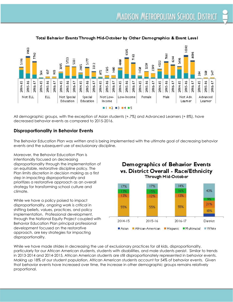

#### Total Behavior Events Through Mid-October by Other Demographics & Event Level

 decreased behavior events as compared to 2015-2016. All demographic groups, with the exception of Asian students (+.7%) and Advanced Learners (+ 8%), have

#### **Disproportionality in Behavior Events**

 events and the subsequent use of exclusionary discipline. The Behavior Education Plan was written and is being implemented with the ultimate goal of decreasing behavior

 climate. Moreover, the Behavior Education Plan is intentionally focused on decreasing disproportionality through the implementation of an equitable, restorative discipline policy. The Plan limits discretion in decision making as a first step in impacting disproportionality and prioritizes a restorative approach as an overall strategy for transforming school culture and

 disproportionality. While we have a policy poised to impact disproportionality, ongoing work is critical in shifting beliefs, values, practices, and policy implementation. Professional development, through the National Equity Project coupled with Behavior Education Plan principal professional development focused on the restorative approach, are key strategies for impacting



African-American Hispanic Multiracial

2016-17

**District** 

■ White

 $2015 - 16$ 

Demographics of Behavior Events



 $2014 - 15$ 

Asian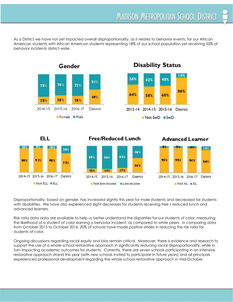behavior incidents district-wide. As a District we have not yet impacted overall disproportionality, as it relates to behavior events, for our African American students with African American students representing 18% of our school population yet receiving 55% of



# **Disability Status**



### **ELL**

# **Free/Reduced Lunch** 46%

#### **Advanced Learner**



 advanced learners. Disproportionality, based on gender, has increased slightly this year for male students and decreased for students with disabilities. We have also experienced slight decreases for students receiving free / reduced lunch and

 students of color. Risk ratio data data are available to help us better understand the disparities for our students of color; measuring the likelihood of a student of color earning a behavior incident, as compared to white peers. In comparing data from October 2015 to October 2016, 20% of schools have made positive strides in reducing the risk ratio for

 experienced professional development regarding the whole school restorative approach in mid-October.Ongoing discussions regarding racial equity and bias remain critical. Moreover, there is evidence and research to support the use of a whole-school restorative approach in significantly reducing racial disproportionality, while in turn impacting academic outcomes for students. Currently, there are seven schools participating in an intensive restorative approach strand this year (with new schools invited to participate in future years) and all principals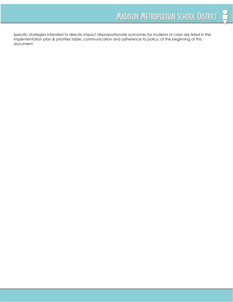document.Specific strategies intended to directly impact disproportionate outcomes for students of color are listed in the implementation plan & priorities table, communication and adherence to policy, at the beginning of this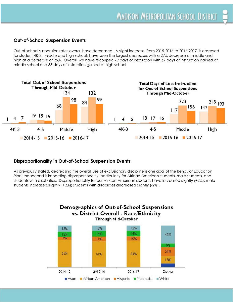#### **Out-of-School Suspension Events**

 middle school and 33 days of instruction gained at high school. Out-of-school suspension rates overall have decreased. A slight increase, from 2015-2016 to 2016-2017, is observed for student 4K-3. Middle and high schools have seen the largest decreases with a 27% decrease at middle and high at a decrease of 25%. Overall, we have recouped 79 days of instruction with 67 days of instruction gained at



#### **Disproportionality in Out-of-School Suspension Events**

 students increased slightly (+2%); students with disabilities decreased slightly (-2%).As previously stated, decreasing the overall use of exclusionary discipline is one goal of the Behavior Education Plan; the second is impacting disproportionality, particularly for African American students, male students, and students with disabilities. Disproportionality for our African American students have increased slightly (+2%); male